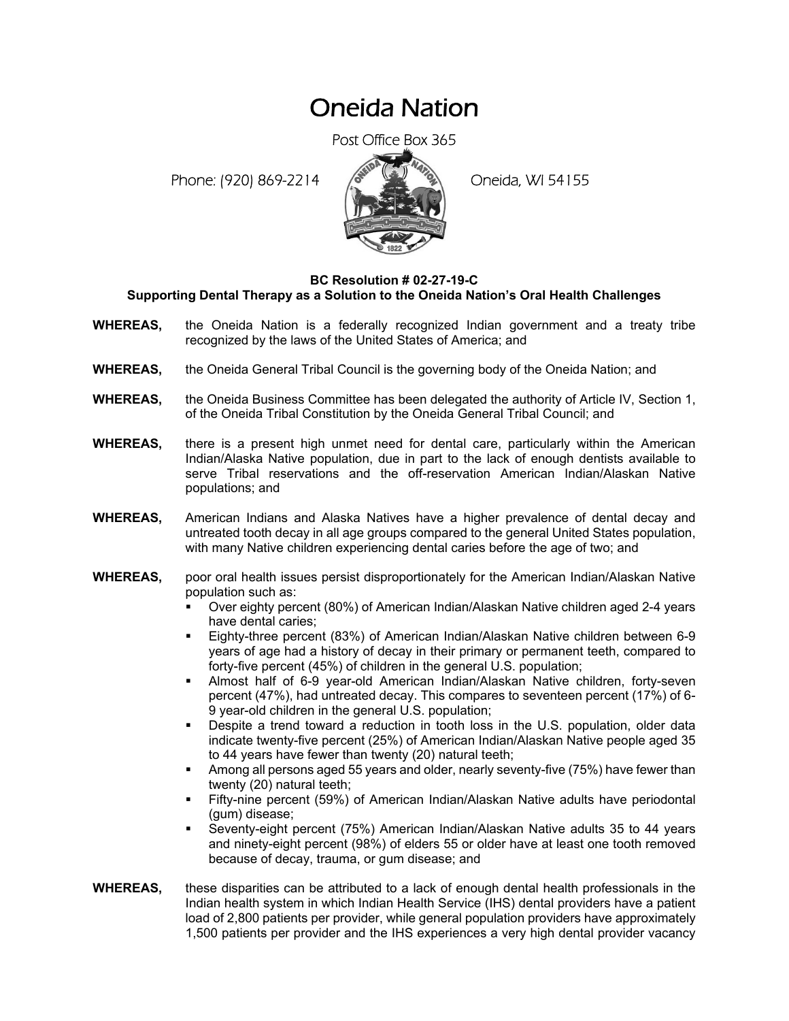## Oneida Nation

Post Office Box 365

Phone: (920) 869-2214 (8 22 3) Oneida, WI 54155



## **BC Resolution # 02-27-19-C Supporting Dental Therapy as a Solution to the Oneida Nation's Oral Health Challenges**

- **WHEREAS,** the Oneida Nation is a federally recognized Indian government and a treaty tribe recognized by the laws of the United States of America; and
- **WHEREAS,** the Oneida General Tribal Council is the governing body of the Oneida Nation; and
- **WHEREAS,** the Oneida Business Committee has been delegated the authority of Article IV, Section 1, of the Oneida Tribal Constitution by the Oneida General Tribal Council; and
- **WHEREAS,** there is a present high unmet need for dental care, particularly within the American Indian/Alaska Native population, due in part to the lack of enough dentists available to serve Tribal reservations and the off-reservation American Indian/Alaskan Native populations; and
- **WHEREAS,** American Indians and Alaska Natives have a higher prevalence of dental decay and untreated tooth decay in all age groups compared to the general United States population, with many Native children experiencing dental caries before the age of two; and
- **WHEREAS,** poor oral health issues persist disproportionately for the American Indian/Alaskan Native population such as:
	- Over eighty percent (80%) of American Indian/Alaskan Native children aged 2-4 years have dental caries;
	- Eighty-three percent (83%) of American Indian/Alaskan Native children between 6-9 years of age had a history of decay in their primary or permanent teeth, compared to forty-five percent (45%) of children in the general U.S. population;
	- Almost half of 6-9 year-old American Indian/Alaskan Native children, forty-seven percent (47%), had untreated decay. This compares to seventeen percent (17%) of 6- 9 year-old children in the general U.S. population;
	- Despite a trend toward a reduction in tooth loss in the U.S. population, older data indicate twenty-five percent (25%) of American Indian/Alaskan Native people aged 35 to 44 years have fewer than twenty (20) natural teeth;
	- Among all persons aged 55 years and older, nearly seventy-five (75%) have fewer than twenty (20) natural teeth;
	- Fifty-nine percent (59%) of American Indian/Alaskan Native adults have periodontal (gum) disease;
	- Seventy-eight percent (75%) American Indian/Alaskan Native adults 35 to 44 years and ninety-eight percent (98%) of elders 55 or older have at least one tooth removed because of decay, trauma, or gum disease; and
- **WHEREAS,** these disparities can be attributed to a lack of enough dental health professionals in the Indian health system in which Indian Health Service (IHS) dental providers have a patient load of 2,800 patients per provider, while general population providers have approximately 1,500 patients per provider and the IHS experiences a very high dental provider vacancy